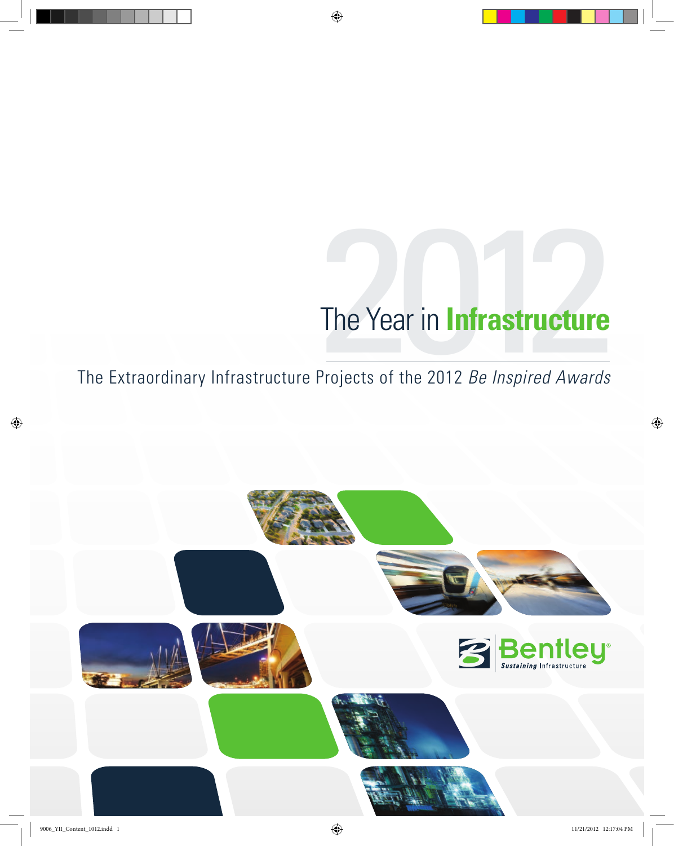## The Year in **Infrastructure**<br>Projects of the 2012 *Be Inspired Awards* the year in **Infrastructure**

The Extraordinary Infrastructure Projects of the 2012 *Be Inspired Awards* 

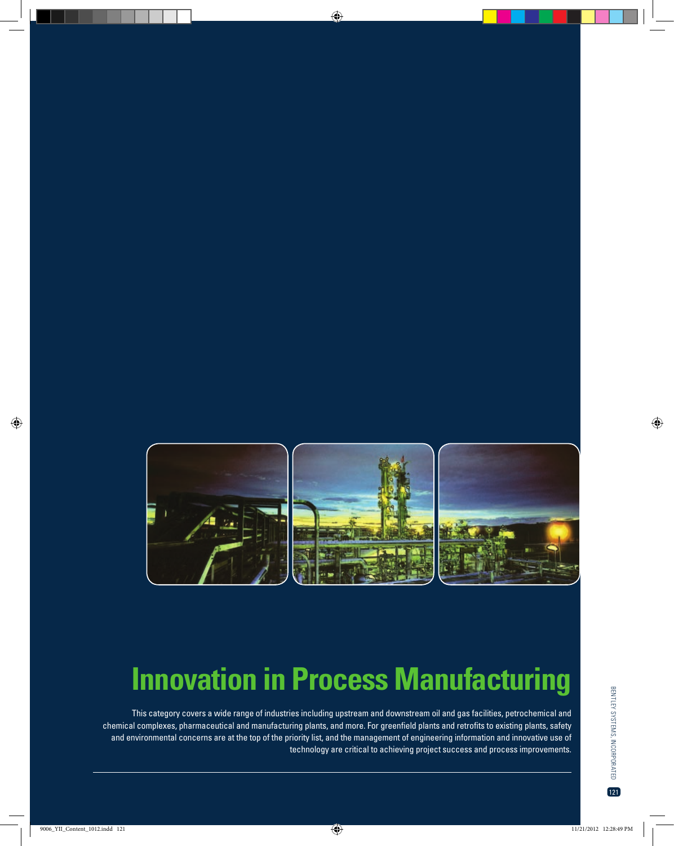

## **Innovation in Process Manufacturing**

This category covers a wide range of industries including upstream and downstream oil and gas facilities, petrochemical and chemical complexes, pharmaceutical and manufacturing plants, and more. For greenfield plants and retrofits to existing plants, safety and environmental concerns are at the top of the priority list, and the management of engineering information and innovative use of technology are critical to achieving project success and process improvements.